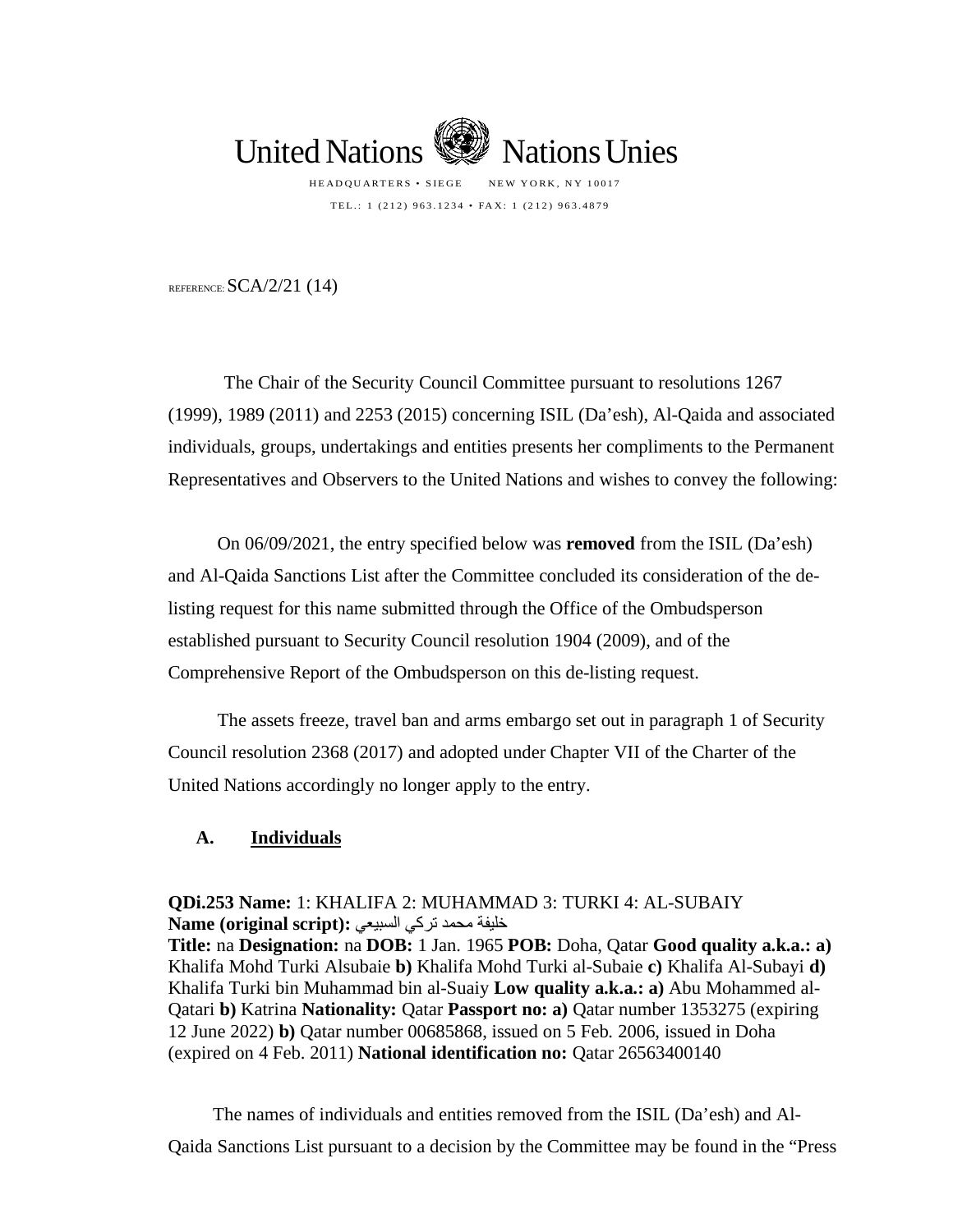

TEL.: 1 (212) 963.1234 • FAX: 1 (212) 963.4879

REFERENCE:  $SCA/2/21$  (14)

The Chair of the Security Council Committee pursuant to resolutions 1267 (1999), 1989 (2011) and 2253 (2015) concerning ISIL (Da'esh), Al-Qaida and associated individuals, groups, undertakings and entities presents her compliments to the Permanent Representatives and Observers to the United Nations and wishes to convey the following:

On 06/09/2021, the entry specified below was **removed** from the ISIL (Da'esh) and Al-Qaida Sanctions List after the Committee concluded its consideration of the delisting request for this name submitted through the Office of the Ombudsperson established pursuant to Security Council resolution 1904 (2009), and of the Comprehensive Report of the Ombudsperson on this de-listing request.

The assets freeze, travel ban and arms embargo set out in paragraph 1 of Security Council resolution 2368 (2017) and adopted under Chapter VII of the Charter of the United Nations accordingly no longer apply to the entry.

## **A. Individuals**

**QDi.253 Name:** 1: KHALIFA 2: MUHAMMAD 3: TURKI 4: AL-SUBAIY خلیفة محمد تركي السبیعي **:(script original (Name Title:** na **Designation:** na **DOB:** 1 Jan. 1965 **POB:** Doha, Qatar **Good quality a.k.a.: a)**  Khalifa Mohd Turki Alsubaie **b)** Khalifa Mohd Turki al-Subaie **c)** Khalifa Al-Subayi **d)**  Khalifa Turki bin Muhammad bin al-Suaiy **Low quality a.k.a.: a)** Abu Mohammed al-Qatari **b)** Katrina **Nationality:** Qatar **Passport no: a)** Qatar number 1353275 (expiring 12 June 2022) **b)** Qatar number 00685868, issued on 5 Feb. 2006, issued in Doha (expired on 4 Feb. 2011) **National identification no:** Qatar 26563400140

The names of individuals and entities removed from the ISIL (Da'esh) and Al-Qaida Sanctions List pursuant to a decision by the Committee may be found in the "Press